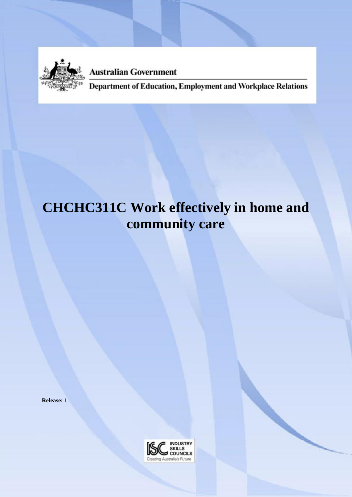

**Australian Government** 

Department of Education, Employment and Workplace Relations

# **CHCHC311C Work effectively in home and community care**

**Release: 1**

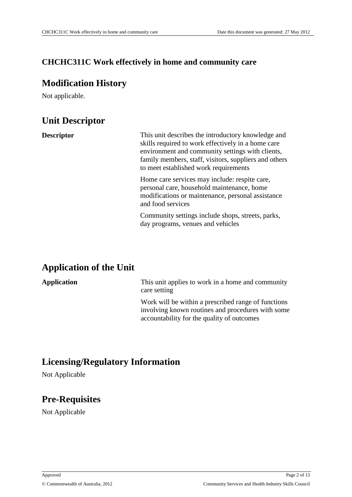## **CHCHC311C Work effectively in home and community care**

## **Modification History**

Not applicable.

## **Unit Descriptor**

**Descriptor** This unit describes the introductory knowledge and skills required to work effectively in a home care environment and community settings with clients, family members, staff, visitors, suppliers and others to meet established work requirements

> Home care services may include: respite care, personal care, household maintenance, home modifications or maintenance, personal assistance and food services

> Community settings include shops, streets, parks, day programs, venues and vehicles

## **Application of the Unit**

## **Application** This unit applies to work in a home and community care setting Work will be within a prescribed range of functions involving known routines and procedures with some accountability for the quality of outcomes

## **Licensing/Regulatory Information**

Not Applicable

## **Pre-Requisites**

Not Applicable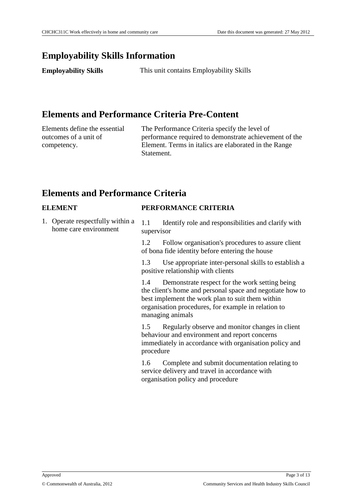## **Employability Skills Information**

**Employability Skills** This unit contains Employability Skills

## **Elements and Performance Criteria Pre-Content**

Elements define the essential outcomes of a unit of competency.

The Performance Criteria specify the level of performance required to demonstrate achievement of the Element. Terms in italics are elaborated in the Range **Statement** 

## **Elements and Performance Criteria**

#### **ELEMENT PERFORMANCE CRITERIA**

1. Operate respectfully within a home care environment 1.1 Identify role and responsibilities and clarify with supervisor

> 1.2 Follow organisation's procedures to assure client of bona fide identity before entering the house

1.3 Use appropriate inter-personal skills to establish a positive relationship with clients

1.4 Demonstrate respect for the work setting being the client's home and personal space and negotiate how to best implement the work plan to suit them within organisation procedures, for example in relation to managing animals

1.5 Regularly observe and monitor changes in client behaviour and environment and report concerns immediately in accordance with organisation policy and procedure

1.6 Complete and submit documentation relating to service delivery and travel in accordance with organisation policy and procedure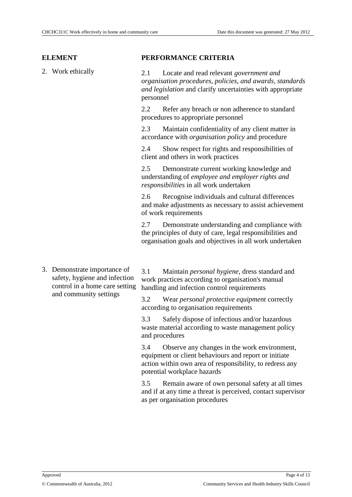#### **ELEMENT PERFORMANCE CRITERIA**

2. Work ethically 2.1 Locate and read relevant *government and organisation procedures*, *policies*, *and awards*, *standards and legislation* and clarify uncertainties with appropriate personnel

> 2.2 Refer any breach or non adherence to standard procedures to appropriate personnel

> 2.3 Maintain confidentiality of any client matter in accordance with *organisation policy* and procedure

2.4 Show respect for rights and responsibilities of client and others in work practices

2.5 Demonstrate current working knowledge and understanding of *employee and employer rights and responsibilities* in all work undertaken

2.6 Recognise individuals and cultural differences and make adjustments as necessary to assist achievement of work requirements

2.7 Demonstrate understanding and compliance with the principles of duty of care, legal responsibilities and organisation goals and objectives in all work undertaken

3. Demonstrate importance of safety, hygiene and infection control in a home care setting and community settings

3.1 Maintain *personal hygiene*, dress standard and work practices according to organisation's manual handling and infection control requirements

3.2 Wear *personal protective equipment* correctly according to organisation requirements

3.3 Safely dispose of infectious and/or hazardous waste material according to waste management policy and procedures

3.4 Observe any changes in the work environment, equipment or client behaviours and report or initiate action within own area of responsibility, to redress any potential workplace hazards

3.5 Remain aware of own personal safety at all times and if at any time a threat is perceived, contact supervisor as per organisation procedures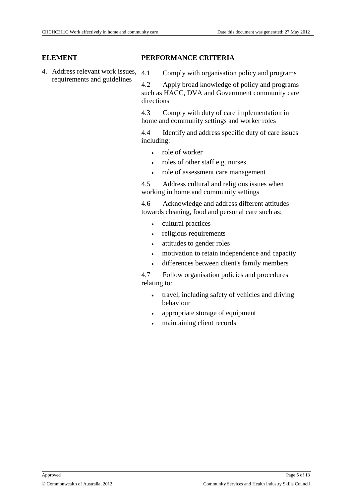4. Address relevant work issues, requirements and guidelines

#### **ELEMENT PERFORMANCE CRITERIA**

4.1 Comply with organisation policy and programs

4.2 Apply broad knowledge of policy and programs such as HACC, DVA and Government community care directions

4.3 Comply with duty of care implementation in home and community settings and worker roles

4.4 Identify and address specific duty of care issues including:

- role of worker
- roles of other staff e.g. nurses
- role of assessment care management

4.5 Address cultural and religious issues when working in home and community settings

4.6 Acknowledge and address different attitudes towards cleaning, food and personal care such as:

- cultural practices
- religious requirements
- attitudes to gender roles
- motivation to retain independence and capacity
- differences between client's family members

4.7 Follow organisation policies and procedures relating to:

- travel, including safety of vehicles and driving behaviour
- appropriate storage of equipment
- maintaining client records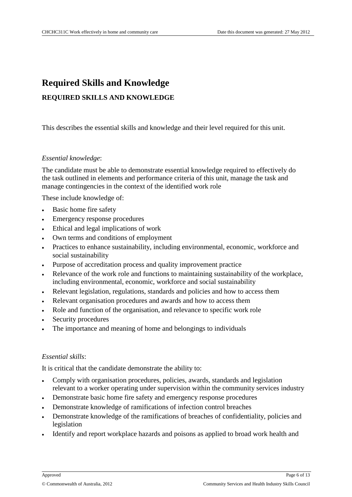## **Required Skills and Knowledge REQUIRED SKILLS AND KNOWLEDGE**

This describes the essential skills and knowledge and their level required for this unit.

#### *Essential knowledge*:

The candidate must be able to demonstrate essential knowledge required to effectively do the task outlined in elements and performance criteria of this unit, manage the task and manage contingencies in the context of the identified work role

These include knowledge of:

- Basic home fire safety
- Emergency response procedures
- Ethical and legal implications of work
- Own terms and conditions of employment
- Practices to enhance sustainability, including environmental, economic, workforce and social sustainability
- Purpose of accreditation process and quality improvement practice
- Relevance of the work role and functions to maintaining sustainability of the workplace, including environmental, economic, workforce and social sustainability
- Relevant legislation, regulations, standards and policies and how to access them
- Relevant organisation procedures and awards and how to access them
- Role and function of the organisation, and relevance to specific work role
- Security procedures
- The importance and meaning of home and belongings to individuals

### *Essential skills*:

It is critical that the candidate demonstrate the ability to:

- Comply with organisation procedures, policies, awards, standards and legislation relevant to a worker operating under supervision within the community services industry
- Demonstrate basic home fire safety and emergency response procedures
- Demonstrate knowledge of ramifications of infection control breaches
- Demonstrate knowledge of the ramifications of breaches of confidentiality, policies and legislation
- Identify and report workplace hazards and poisons as applied to broad work health and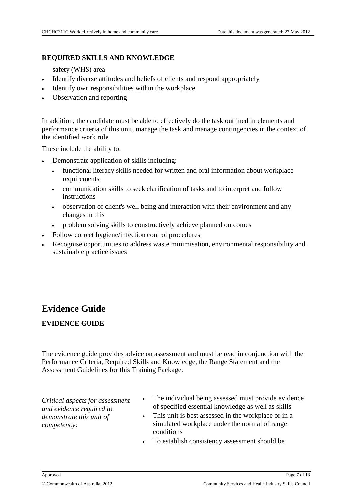#### **REQUIRED SKILLS AND KNOWLEDGE**

safety (WHS) area

- Identify diverse attitudes and beliefs of clients and respond appropriately
- Identify own responsibilities within the workplace
- Observation and reporting

In addition, the candidate must be able to effectively do the task outlined in elements and performance criteria of this unit, manage the task and manage contingencies in the context of the identified work role

These include the ability to:

- Demonstrate application of skills including:
	- functional literacy skills needed for written and oral information about workplace requirements
	- communication skills to seek clarification of tasks and to interpret and follow instructions
	- observation of client's well being and interaction with their environment and any changes in this
	- problem solving skills to constructively achieve planned outcomes
- Follow correct hygiene/infection control procedures
- Recognise opportunities to address waste minimisation, environmental responsibility and sustainable practice issues

## **Evidence Guide**

### **EVIDENCE GUIDE**

The evidence guide provides advice on assessment and must be read in conjunction with the Performance Criteria, Required Skills and Knowledge, the Range Statement and the Assessment Guidelines for this Training Package.

*Critical aspects for assessment and evidence required to demonstrate this unit of competency*:

- The individual being assessed must provide evidence of specified essential knowledge as well as skills
- This unit is best assessed in the workplace or in a simulated workplace under the normal of range conditions
- To establish consistency assessment should be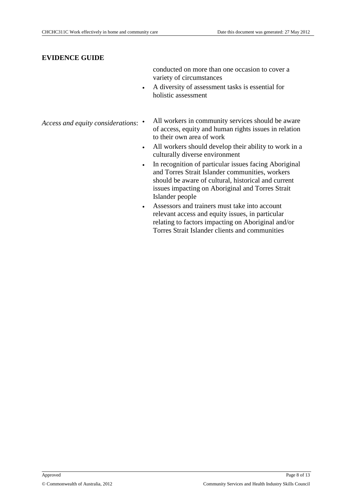#### **EVIDENCE GUIDE**

conducted on more than one occasion to cover a variety of circumstances

 A diversity of assessment tasks is essential for holistic assessment

*Access and equity considerations*:

- All workers in community services should be aware of access, equity and human rights issues in relation to their own area of work
- All workers should develop their ability to work in a culturally diverse environment
- In recognition of particular issues facing Aboriginal and Torres Strait Islander communities, workers should be aware of cultural, historical and current issues impacting on Aboriginal and Torres Strait Islander people
- Assessors and trainers must take into account relevant access and equity issues, in particular relating to factors impacting on Aboriginal and/or Torres Strait Islander clients and communities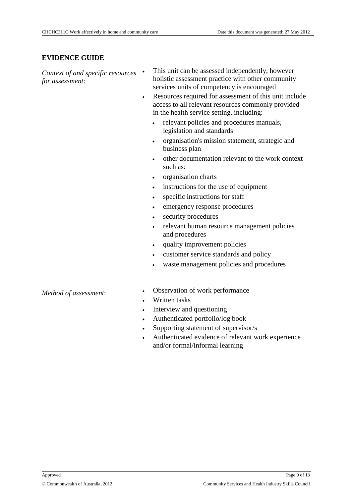#### **EVIDENCE GUIDE**

*Context of and specific resources for assessment*:

- This unit can be assessed independently, however holistic assessment practice with other community services units of competency is encouraged
- Resources required for assessment of this unit include access to all relevant resources commonly provided in the health service setting, including:
	- relevant policies and procedures manuals, legislation and standards
	- organisation's mission statement, strategic and business plan
	- other documentation relevant to the work context such as:
	- organisation charts
	- instructions for the use of equipment
	- specific instructions for staff
	- emergency response procedures
	- security procedures
	- relevant human resource management policies and procedures
	- quality improvement policies
	- customer service standards and policy
	- waste management policies and procedures

#### *Method of assessment*:

- Observation of work performance
- Written tasks
- Interview and questioning
- Authenticated portfolio/log book
- Supporting statement of supervisor/s
- Authenticated evidence of relevant work experience and/or formal/informal learning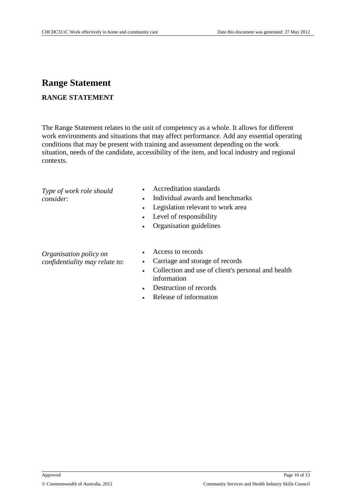## **Range Statement**

### **RANGE STATEMENT**

The Range Statement relates to the unit of competency as a whole. It allows for different work environments and situations that may affect performance. Add any essential operating conditions that may be present with training and assessment depending on the work situation, needs of the candidate, accessibility of the item, and local industry and regional contexts.

*Type of work role should consider*:

- Accreditation standards
- Individual awards and benchmarks
- Legislation relevant to work area
- Level of responsibility
- Organisation guidelines

#### *Organisation policy on confidentiality may relate to*:

- Access to records
- Carriage and storage of records
- Collection and use of client's personal and health information
- Destruction of records
- Release of information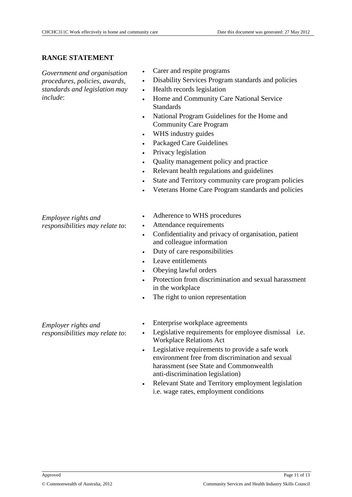### **RANGE STATEMENT**

*Government and organisation procedures*, *policies*, *awards*, *standards and legislation may include*:

- Carer and respite programs
- Disability Services Program standards and policies
- Health records legislation
- Home and Community Care National Service **Standards**
- National Program Guidelines for the Home and Community Care Program
- WHS industry guides
- Packaged Care Guidelines
- Privacy legislation
- Quality management policy and practice
- Relevant health regulations and guidelines
- State and Territory community care program policies
- Veterans Home Care Program standards and policies
- *Employee rights and responsibilities may relate to*:
- Adherence to WHS procedures
- Attendance requirements
- Confidentiality and privacy of organisation, patient and colleague information
- Duty of care responsibilities
- Leave entitlements
- Obeying lawful orders
- Protection from discrimination and sexual harassment in the workplace
- The right to union representation

*Employer rights and responsibilities may relate to*:

- Enterprise workplace agreements
- Legislative requirements for employee dismissal i.e. Workplace Relations Act
- Legislative requirements to provide a safe work environment free from discrimination and sexual harassment (see State and Commonwealth anti-discrimination legislation)
- Relevant State and Territory employment legislation i.e. wage rates, employment conditions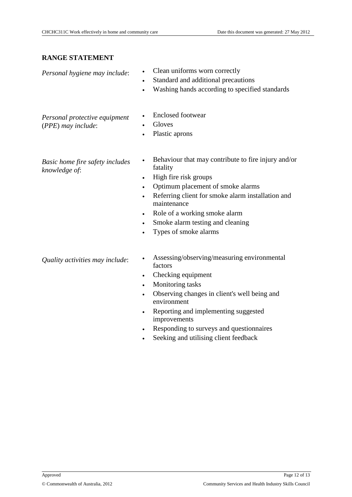## **RANGE STATEMENT**

| Personal hygiene may include:                       | Clean uniforms worn correctly<br>$\bullet$<br>Standard and additional precautions<br>$\bullet$<br>Washing hands according to specified standards                                                                                                                                                                                                                              |
|-----------------------------------------------------|-------------------------------------------------------------------------------------------------------------------------------------------------------------------------------------------------------------------------------------------------------------------------------------------------------------------------------------------------------------------------------|
| Personal protective equipment<br>(PPE) may include: | <b>Enclosed footwear</b><br>Gloves<br>$\bullet$<br>Plastic aprons                                                                                                                                                                                                                                                                                                             |
| Basic home fire safety includes<br>knowledge of:    | Behaviour that may contribute to fire injury and/or<br>$\bullet$<br>fatality<br>High fire risk groups<br>$\bullet$<br>Optimum placement of smoke alarms<br>$\bullet$<br>Referring client for smoke alarm installation and<br>$\bullet$<br>maintenance<br>Role of a working smoke alarm<br>$\bullet$<br>Smoke alarm testing and cleaning<br>$\bullet$<br>Types of smoke alarms |
| Quality activities may include:                     | Assessing/observing/measuring environmental<br>factors<br>Checking equipment<br>$\bullet$<br>Monitoring tasks<br>$\bullet$<br>Observing changes in client's well being and<br>$\bullet$<br>environment<br>Reporting and implementing suggested<br>improvements                                                                                                                |

- Responding to surveys and questionnaires
- Seeking and utilising client feedback